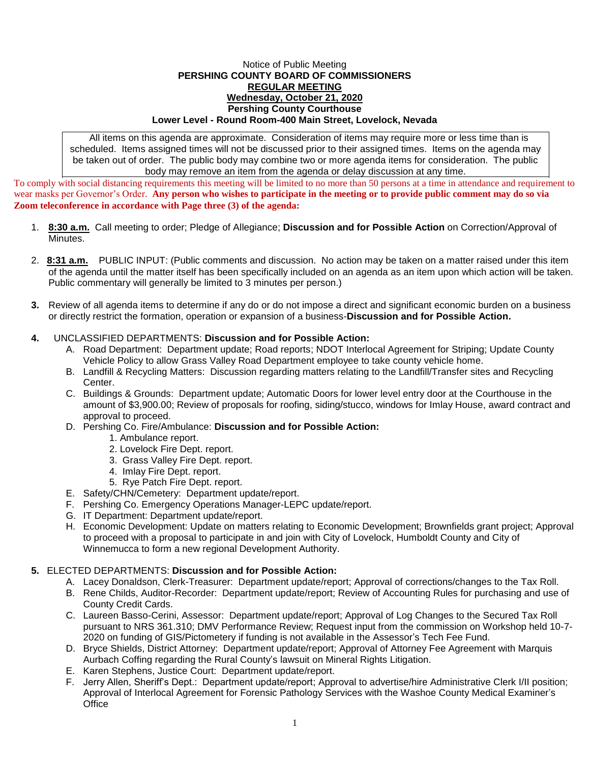## Notice of Public Meeting **PERSHING COUNTY BOARD OF COMMISSIONERS REGULAR MEETING Wednesday, October 21, 2020 Pershing County Courthouse Lower Level - Round Room-400 Main Street, Lovelock, Nevada**

All items on this agenda are approximate. Consideration of items may require more or less time than is scheduled. Items assigned times will not be discussed prior to their assigned times. Items on the agenda may be taken out of order. The public body may combine two or more agenda items for consideration. The public body may remove an item from the agenda or delay discussion at any time.

To comply with social distancing requirements this meeting will be limited to no more than 50 persons at a time in attendance and requirement to wear masks per Governor's Order. **Any person who wishes to participate in the meeting or to provide public comment may do so via Zoom teleconference in accordance with Page three (3) of the agenda:** 

- 1. **8:30 a.m.** Call meeting to order; Pledge of Allegiance; **Discussion and for Possible Action** on Correction/Approval of Minutes.
- 2. **8:31 a.m.** PUBLIC INPUT: (Public comments and discussion. No action may be taken on a matter raised under this item of the agenda until the matter itself has been specifically included on an agenda as an item upon which action will be taken. Public commentary will generally be limited to 3 minutes per person.)
- **3.** Review of all agenda items to determine if any do or do not impose a direct and significant economic burden on a business or directly restrict the formation, operation or expansion of a business-**Discussion and for Possible Action.**

## **4.** UNCLASSIFIED DEPARTMENTS: **Discussion and for Possible Action:**

- A. Road Department: Department update; Road reports; NDOT Interlocal Agreement for Striping; Update County Vehicle Policy to allow Grass Valley Road Department employee to take county vehicle home.
- B. Landfill & Recycling Matters: Discussion regarding matters relating to the Landfill/Transfer sites and Recycling Center.
- C. Buildings & Grounds: Department update; Automatic Doors for lower level entry door at the Courthouse in the amount of \$3,900.00; Review of proposals for roofing, siding/stucco, windows for Imlay House, award contract and approval to proceed.
- D. Pershing Co. Fire/Ambulance: **Discussion and for Possible Action:**
	- 1. Ambulance report.
	- 2. Lovelock Fire Dept. report.
	- 3. Grass Valley Fire Dept. report.
	- 4. Imlay Fire Dept. report.
	- 5. Rye Patch Fire Dept. report.
- E. Safety/CHN/Cemetery: Department update/report.
- F. Pershing Co. Emergency Operations Manager-LEPC update/report.
- G. IT Department: Department update/report.
- H. Economic Development: Update on matters relating to Economic Development; Brownfields grant project; Approval to proceed with a proposal to participate in and join with City of Lovelock, Humboldt County and City of Winnemucca to form a new regional Development Authority.

## **5.** ELECTED DEPARTMENTS: **Discussion and for Possible Action:**

- A. Lacey Donaldson, Clerk-Treasurer: Department update/report; Approval of corrections/changes to the Tax Roll.
- B. Rene Childs, Auditor-Recorder: Department update/report; Review of Accounting Rules for purchasing and use of County Credit Cards.
- C. Laureen Basso-Cerini, Assessor: Department update/report; Approval of Log Changes to the Secured Tax Roll pursuant to NRS 361.310; DMV Performance Review; Request input from the commission on Workshop held 10-7- 2020 on funding of GIS/Pictometery if funding is not available in the Assessor's Tech Fee Fund.
- D. Bryce Shields, District Attorney: Department update/report; Approval of Attorney Fee Agreement with Marquis Aurbach Coffing regarding the Rural County's lawsuit on Mineral Rights Litigation.
- E. Karen Stephens, Justice Court: Department update/report.
- F. Jerry Allen, Sheriff's Dept.: Department update/report; Approval to advertise/hire Administrative Clerk I/II position; Approval of Interlocal Agreement for Forensic Pathology Services with the Washoe County Medical Examiner's **Office**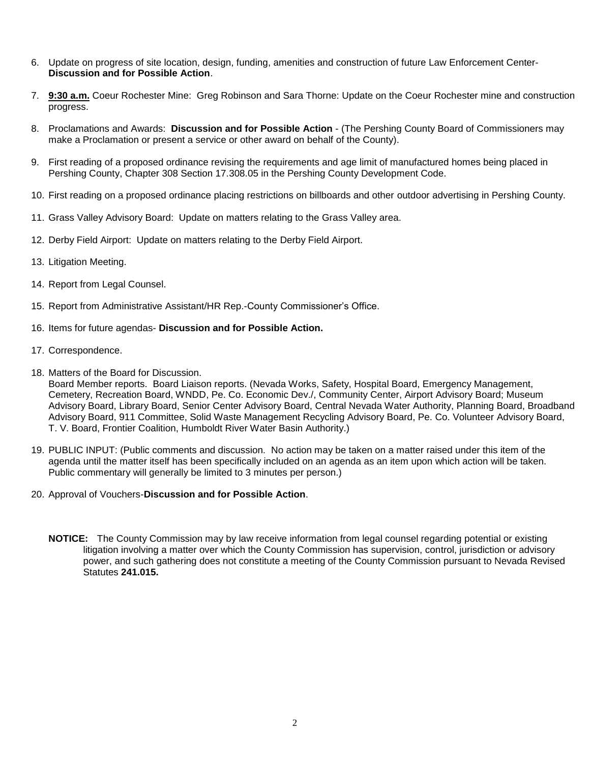- 6. Update on progress of site location, design, funding, amenities and construction of future Law Enforcement Center-**Discussion and for Possible Action**.
- 7. **9:30 a.m.** Coeur Rochester Mine: Greg Robinson and Sara Thorne: Update on the Coeur Rochester mine and construction progress.
- 8. Proclamations and Awards: **Discussion and for Possible Action** (The Pershing County Board of Commissioners may make a Proclamation or present a service or other award on behalf of the County).
- 9. First reading of a proposed ordinance revising the requirements and age limit of manufactured homes being placed in Pershing County, Chapter 308 Section 17.308.05 in the Pershing County Development Code.
- 10. First reading on a proposed ordinance placing restrictions on billboards and other outdoor advertising in Pershing County.
- 11. Grass Valley Advisory Board: Update on matters relating to the Grass Valley area.
- 12. Derby Field Airport: Update on matters relating to the Derby Field Airport.
- 13. Litigation Meeting.
- 14. Report from Legal Counsel.
- 15. Report from Administrative Assistant/HR Rep.-County Commissioner's Office.
- 16. Items for future agendas- **Discussion and for Possible Action.**
- 17. Correspondence.
- 18. Matters of the Board for Discussion.

Board Member reports. Board Liaison reports. (Nevada Works, Safety, Hospital Board, Emergency Management, Cemetery, Recreation Board, WNDD, Pe. Co. Economic Dev./, Community Center, Airport Advisory Board; Museum Advisory Board, Library Board, Senior Center Advisory Board, Central Nevada Water Authority, Planning Board, Broadband Advisory Board, 911 Committee, Solid Waste Management Recycling Advisory Board, Pe. Co. Volunteer Advisory Board, T. V. Board, Frontier Coalition, Humboldt River Water Basin Authority.)

- 19. PUBLIC INPUT: (Public comments and discussion. No action may be taken on a matter raised under this item of the agenda until the matter itself has been specifically included on an agenda as an item upon which action will be taken. Public commentary will generally be limited to 3 minutes per person.)
- 20. Approval of Vouchers-**Discussion and for Possible Action**.
	- **NOTICE:** The County Commission may by law receive information from legal counsel regarding potential or existing litigation involving a matter over which the County Commission has supervision, control, jurisdiction or advisory power, and such gathering does not constitute a meeting of the County Commission pursuant to Nevada Revised Statutes **241.015.**